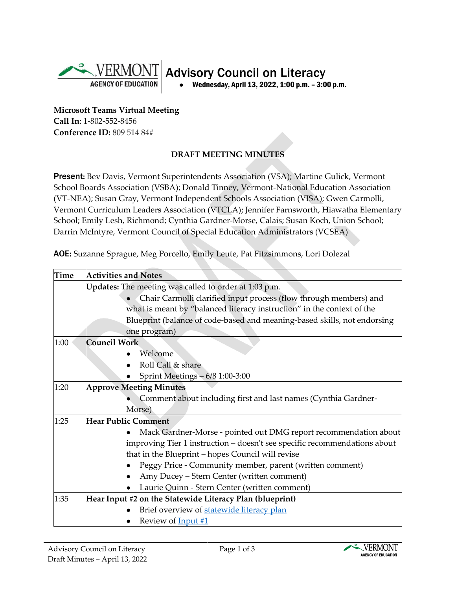

**Microsoft Teams Virtual Meeting Call In**: 1-802-552-8456 **Conference ID:** 809 514 84#

## **DRAFT MEETING MINUTES**

Present**:** Bev Davis, Vermont Superintendents Association (VSA); Martine Gulick, Vermont School Boards Association (VSBA); Donald Tinney, Vermont-National Education Association (VT-NEA); Susan Gray, Vermont Independent Schools Association (VISA); Gwen Carmolli, Vermont Curriculum Leaders Association (VTCLA); Jennifer Farnsworth, Hiawatha Elementary School; Emily Lesh, Richmond; Cynthia Gardner-Morse, Calais; Susan Koch, Union School; Darrin McIntyre, Vermont Council of Special Education Administrators (VCSEA)

AOE**:** Suzanne Sprague, Meg Porcello, Emily Leute, Pat Fitzsimmons, Lori Dolezal

| <b>Time</b> | <b>Activities and Notes</b>                                               |
|-------------|---------------------------------------------------------------------------|
|             | Updates: The meeting was called to order at 1:03 p.m.                     |
|             | Chair Carmolli clarified input process (flow through members) and         |
|             | what is meant by "balanced literacy instruction" in the context of the    |
|             | Blueprint (balance of code-based and meaning-based skills, not endorsing  |
|             | one program)                                                              |
| 1:00        | Council Work                                                              |
|             | Welcome                                                                   |
|             | Roll Call & share                                                         |
|             | Sprint Meetings - 6/8 1:00-3:00                                           |
| 1:20        | <b>Approve Meeting Minutes</b>                                            |
|             | Comment about including first and last names (Cynthia Gardner-            |
|             | Morse)                                                                    |
| 1:25        | <b>Hear Public Comment</b>                                                |
|             | Mack Gardner-Morse - pointed out DMG report recommendation about          |
|             | improving Tier 1 instruction - doesn't see specific recommendations about |
|             | that in the Blueprint - hopes Council will revise                         |
|             | Peggy Price - Community member, parent (written comment)                  |
|             | Amy Ducey - Stern Center (written comment)                                |
|             | Laurie Quinn - Stern Center (written comment)                             |
| 1:35        | Hear Input #2 on the Statewide Literacy Plan (blueprint)                  |
|             | Brief overview of statewide literacy plan                                 |
|             | Review of <b>Input</b> #1                                                 |

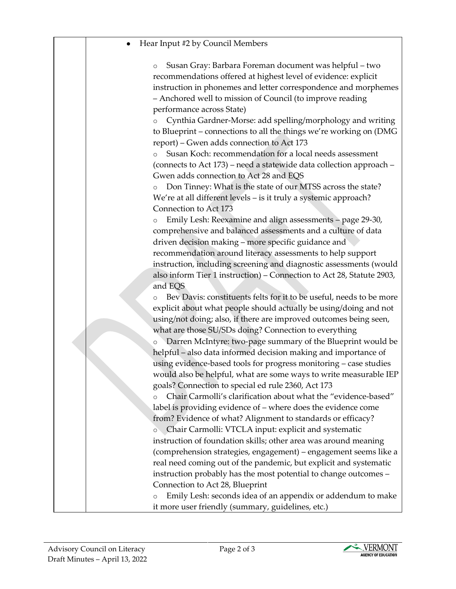## Hear Input #2 by Council Members

o Susan Gray: Barbara Foreman document was helpful – two recommendations offered at highest level of evidence: explicit instruction in phonemes and letter correspondence and morphemes – Anchored well to mission of Council (to improve reading performance across State)

o Cynthia Gardner-Morse: add spelling/morphology and writing to Blueprint – connections to all the things we're working on (DMG report) – Gwen adds connection to Act 173

o Susan Koch: recommendation for a local needs assessment (connects to Act 173) – need a statewide data collection approach – Gwen adds connection to Act 28 and EQS

o Don Tinney: What is the state of our MTSS across the state? We're at all different levels – is it truly a systemic approach? Connection to Act 173

o Emily Lesh: Reexamine and align assessments – page 29-30, comprehensive and balanced assessments and a culture of data driven decision making – more specific guidance and recommendation around literacy assessments to help support instruction, including screening and diagnostic assessments (would also inform Tier 1 instruction) – Connection to Act 28, Statute 2903, and EQS

o Bev Davis: constituents felts for it to be useful, needs to be more explicit about what people should actually be using/doing and not using/not doing; also, if there are improved outcomes being seen, what are those SU/SDs doing? Connection to everything

o Darren McIntyre: two-page summary of the Blueprint would be helpful – also data informed decision making and importance of using evidence-based tools for progress monitoring – case studies would also be helpful, what are some ways to write measurable IEP goals? Connection to special ed rule 2360, Act 173

o Chair Carmolli's clarification about what the "evidence-based" label is providing evidence of – where does the evidence come from? Evidence of what? Alignment to standards or efficacy?

o Chair Carmolli: VTCLA input: explicit and systematic instruction of foundation skills; other area was around meaning (comprehension strategies, engagement) – engagement seems like a real need coming out of the pandemic, but explicit and systematic instruction probably has the most potential to change outcomes – Connection to Act 28, Blueprint

o Emily Lesh: seconds idea of an appendix or addendum to make it more user friendly (summary, guidelines, etc.)